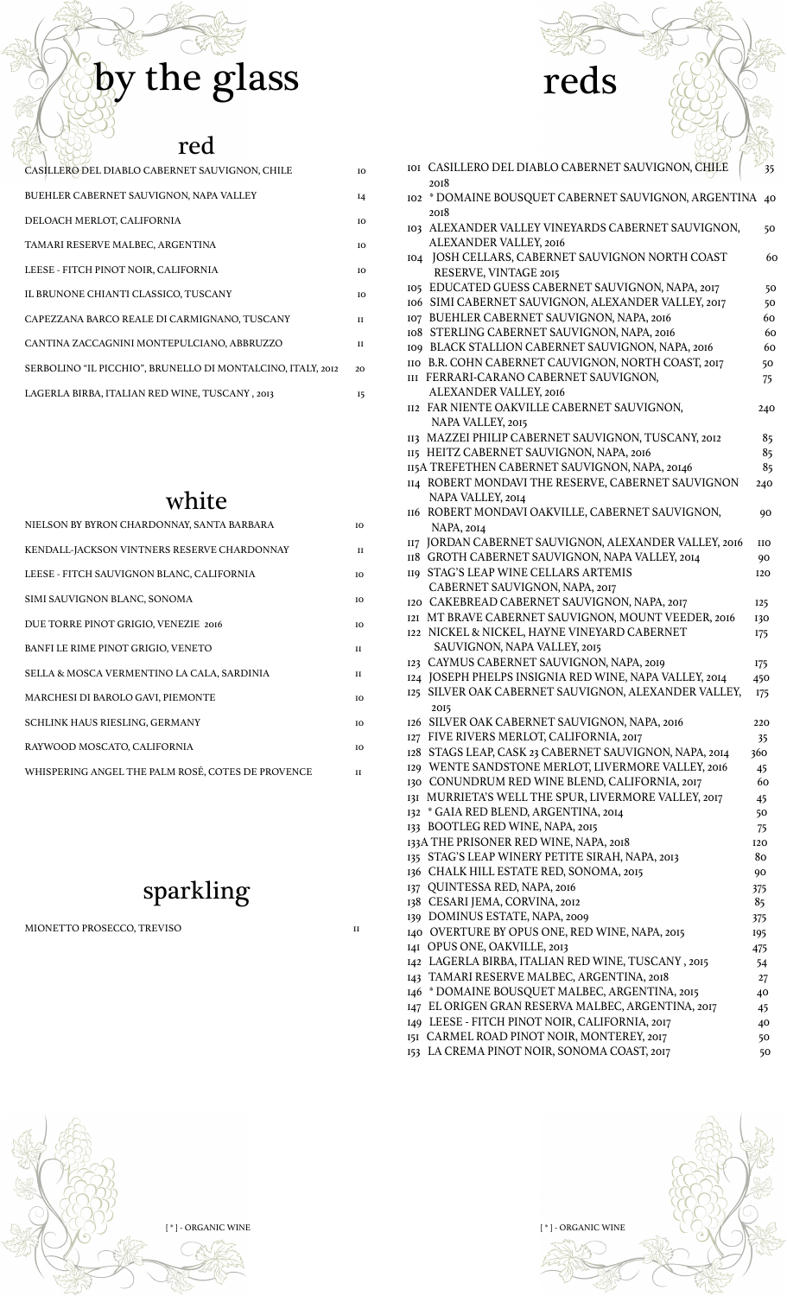# by the glass reds

### red

| CASILLERO DEL DIABLO CABERNET SAUVIGNON, CHILE              | ĪΩ           |
|-------------------------------------------------------------|--------------|
| BUEHLER CABERNET SAUVIGNON, NAPA VALLEY                     | $I_4$        |
| DELOACH MERLOT, CALIFORNIA                                  | IO           |
| TAMARI RESERVE MALBEC, ARGENTINA                            | <b>TO</b>    |
| LEESE - FITCH PINOT NOIR, CALIFORNIA                        | IO           |
| IL BRUNONE CHIANTI CLASSICO, TUSCANY                        | <b>TO</b>    |
| CAPEZZANA BARCO REALE DI CARMIGNANO, TUSCANY                | $\mathbf{H}$ |
| CANTINA ZACCAGNINI MONTEPULCIANO, ABBRUZZO                  | $\mathbf{H}$ |
| SERBOLINO "IL PICCHIO", BRUNELLO DI MONTALCINO, ITALY, 2012 | 20           |
| LAGERLA BIRBA, ITALIAN RED WINE, TUSCANY, 2013              | 15           |

### white

| NIELSON BY BYRON CHARDONNAY, SANTA BARBARA        | IO.          |
|---------------------------------------------------|--------------|
| KENDALL-JACKSON VINTNERS RESERVE CHARDONNAY       | $\mathbf{H}$ |
| LEESE - FITCH SAUVIGNON BLANC, CALIFORNIA         | IO           |
| SIMI SAUVIGNON BLANC, SONOMA                      | IO.          |
| DUE TORRE PINOT GRIGIO, VENEZIE 2016              | IО           |
| BANFI LE RIME PINOT GRIGIO, VENETO                | $\mathbf{H}$ |
| SELLA & MOSCA VERMENTINO LA CALA, SARDINIA        | $\mathbf{H}$ |
| MARCHESI DI BAROLO GAVI, PIEMONTE                 | IΟ           |
| SCHLINK HAUS RIESLING, GERMANY                    | <b>TO</b>    |
| RAYWOOD MOSCATO, CALIFORNIA                       | ю            |
| WHISPERING ANGEL THE PALM ROSÉ, COTES DE PROVENCE | и            |

### sparkling

MIONETTO PROSECCO, TREVISO 11

| IOI CASILLERO DEL DIABLO CABERNET SAUVIGNON, CHILE<br>2018                                                   | 35                |
|--------------------------------------------------------------------------------------------------------------|-------------------|
| 102 * DOMAINE BOUSQUET CABERNET SAUVIGNON, ARGENTINA<br>2018                                                 | 40                |
| 103 ALEXANDER VALLEY VINEYARDS CABERNET SAUVIGNON,<br>ALEXANDER VALLEY, 2016                                 | 50                |
| 104 JOSH CELLARS, CABERNET SAUVIGNON NORTH COAST<br>RESERVE, VINTAGE 2015                                    | 60                |
| 105 EDUCATED GUESS CABERNET SAUVIGNON, NAPA, 2017                                                            | 50                |
| 106 SIMI CABERNET SAUVIGNON, ALEXANDER VALLEY, 2017                                                          | 50                |
| 107 BUEHLER CABERNET SAUVIGNON, NAPA, 2016                                                                   | 60                |
| 108 STERLING CABERNET SAUVIGNON, NAPA, 2016<br>109 BLACK STALLION CABERNET SAUVIGNON, NAPA, 2016             | 60<br>60          |
| IIO B.R. COHN CABERNET CAUVIGNON, NORTH COAST, 2017                                                          | 50                |
| III FERRARI-CARANO CABERNET SAUVIGNON,                                                                       | 75                |
| ALEXANDER VALLEY, 2016                                                                                       |                   |
| <b>II2 FAR NIENTE OAKVILLE CABERNET SAUVIGNON,</b>                                                           | 240               |
| NAPA VALLEY, 2015                                                                                            |                   |
| 113 MAZZEI PHILIP CABERNET SAUVIGNON, TUSCANY, 2012                                                          | 85                |
| 115 HEITZ CABERNET SAUVIGNON, NAPA, 2016<br>115A TREFETHEN CABERNET SAUVIGNON, NAPA, 20146                   | 85<br>85          |
| 114 ROBERT MONDAVI THE RESERVE, CABERNET SAUVIGNON                                                           | 240               |
| NAPA VALLEY, 2014                                                                                            |                   |
| 116 ROBERT MONDAVI OAKVILLE, CABERNET SAUVIGNON,<br><b>NAPA, 2014</b>                                        | 90                |
| 117 JORDAN CABERNET SAUVIGNON, ALEXANDER VALLEY, 2016                                                        | <b>IIO</b>        |
| 118 GROTH CABERNET SAUVIGNON, NAPA VALLEY, 2014                                                              | 90                |
| 119 STAG'S LEAP WINE CELLARS ARTEMIS                                                                         | 120               |
| CABERNET SAUVIGNON, NAPA, 2017                                                                               |                   |
| 120 CAKEBREAD CABERNET SAUVIGNON, NAPA, 2017                                                                 | <b>I25</b>        |
| 121 MT BRAVE CABERNET SAUVIGNON, MOUNT VEEDER, 2016                                                          | 130               |
| 122 NICKEL & NICKEL, HAYNE VINEYARD CABERNET                                                                 | <b>175</b>        |
| SAUVIGNON, NAPA VALLEY, 2015<br>123 CAYMUS CABERNET SAUVIGNON, NAPA, 2019                                    |                   |
| 124 JOSEPH PHELPS INSIGNIA RED WINE, NAPA VALLEY, 2014                                                       | <b>175</b><br>450 |
| 125 SILVER OAK CABERNET SAUVIGNON, ALEXANDER VALLEY,                                                         | 175               |
| 2015                                                                                                         |                   |
| 126 SILVER OAK CABERNET SAUVIGNON, NAPA, 2016                                                                | 220               |
| 127 FIVE RIVERS MERLOT, CALIFORNIA, 2017                                                                     | 35                |
| 128 STAGS LEAP, CASK 23 CABERNET SAUVIGNON, NAPA, 2014<br>129 WENTE SANDSTONE MERLOT, LIVERMORE VALLEY, 2016 | 360               |
| 130 CONUNDRUM RED WINE BLEND, CALIFORNIA, 2017                                                               | 45<br>60          |
| 131 MURRIETA'S WELL THE SPUR, LIVERMORE VALLEY, 2017                                                         | 45                |
| 132 * GAIA RED BLEND, ARGENTINA, 2014                                                                        | 50                |
| 133 BOOTLEG RED WINE, NAPA, 2015                                                                             | 75                |
| 133A THE PRISONER RED WINE, NAPA, 2018                                                                       | <b>I20</b>        |
| 135 STAG'S LEAP WINERY PETITE SIRAH, NAPA, 2013                                                              | 80                |
| 136 CHALK HILL ESTATE RED, SONOMA, 2015                                                                      | 90                |
| 137 QUINTESSA RED, NAPA, 2016                                                                                | 375               |
| 138 CESARI JEMA, CORVINA, 2012                                                                               | 85                |
| 139 DOMINUS ESTATE, NAPA, 2009<br>140 OVERTURE BY OPUS ONE, RED WINE, NAPA, 2015                             | 375               |
| 141 OPUS ONE, OAKVILLE, 2013                                                                                 | 195<br>475        |
| 142 LAGERLA BIRBA, ITALIAN RED WINE, TUSCANY, 2015                                                           | 54                |
| 143 TAMARI RESERVE MALBEC, ARGENTINA, 2018                                                                   | 27                |
| 146 * DOMAINE BOUSQUET MALBEC, ARGENTINA, 2015                                                               | 40                |
| 147 EL ORIGEN GRAN RESERVA MALBEC, ARGENTINA, 2017                                                           | 45                |
| 149 LEESE - FITCH PINOT NOIR, CALIFORNIA, 2017                                                               | 40                |
| 151 CARMEL ROAD PINOT NOIR, MONTEREY, 2017                                                                   | 50                |

153 LA CREMA PINOT NOIR, SONOMA COAST, 2017 50

[ \* ] - ORGANIC WINE  $[$  \* ] - ORGANIC WINE